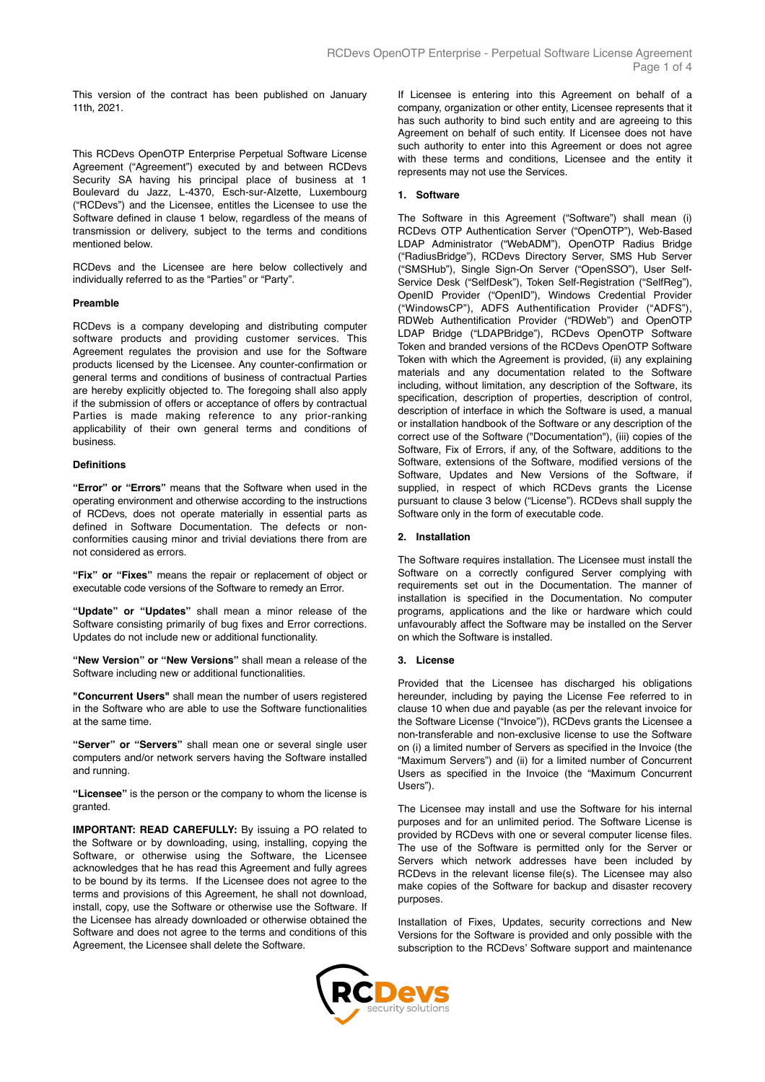This version of the contract has been published on January 11th, 2021.

This RCDevs OpenOTP Enterprise Perpetual Software License Agreement ("Agreement") executed by and between RCDevs Security SA having his principal place of business at 1 Boulevard du Jazz, L-4370, Esch-sur-Alzette, Luxembourg ("RCDevs") and the Licensee, entitles the Licensee to use the Software defined in clause 1 below, regardless of the means of transmission or delivery, subject to the terms and conditions mentioned below.

RCDevs and the Licensee are here below collectively and individually referred to as the "Parties" or "Party".

## **Preamble**

RCDevs is a company developing and distributing computer software products and providing customer services. This Agreement regulates the provision and use for the Software products licensed by the Licensee. Any counter-confirmation or general terms and conditions of business of contractual Parties are hereby explicitly objected to. The foregoing shall also apply if the submission of offers or acceptance of offers by contractual Parties is made making reference to any prior-ranking applicability of their own general terms and conditions of business.

#### **Definitions**

**"Error" or "Errors"** means that the Software when used in the operating environment and otherwise according to the instructions of RCDevs, does not operate materially in essential parts as defined in Software Documentation. The defects or nonconformities causing minor and trivial deviations there from are not considered as errors.

**"Fix" or "Fixes"** means the repair or replacement of object or executable code versions of the Software to remedy an Error.

**"Update" or "Updates"** shall mean a minor release of the Software consisting primarily of bug fixes and Error corrections. Updates do not include new or additional functionality.

**"New Version" or "New Versions"** shall mean a release of the Software including new or additional functionalities.

**"Concurrent Users"** shall mean the number of users registered in the Software who are able to use the Software functionalities at the same time.

**"Server" or "Servers"** shall mean one or several single user computers and/or network servers having the Software installed and running.

**"Licensee"** is the person or the company to whom the license is granted.

**IMPORTANT: READ CAREFULLY:** By issuing a PO related to the Software or by downloading, using, installing, copying the Software, or otherwise using the Software, the Licensee acknowledges that he has read this Agreement and fully agrees to be bound by its terms. If the Licensee does not agree to the terms and provisions of this Agreement, he shall not download, install, copy, use the Software or otherwise use the Software. If the Licensee has already downloaded or otherwise obtained the Software and does not agree to the terms and conditions of this Agreement, the Licensee shall delete the Software.

If Licensee is entering into this Agreement on behalf of a company, organization or other entity, Licensee represents that it has such authority to bind such entity and are agreeing to this Agreement on behalf of such entity. If Licensee does not have such authority to enter into this Agreement or does not agree with these terms and conditions, Licensee and the entity it represents may not use the Services.

### **1. Software**

The Software in this Agreement ("Software") shall mean (i) RCDevs OTP Authentication Server ("OpenOTP"), Web-Based LDAP Administrator ("WebADM"), OpenOTP Radius Bridge ("RadiusBridge"), RCDevs Directory Server, SMS Hub Server ("SMSHub"), Single Sign-On Server ("OpenSSO"), User Self-Service Desk ("SelfDesk"), Token Self-Registration ("SelfReg"), OpenID Provider ("OpenID"), Windows Credential Provider ("WindowsCP"), ADFS Authentification Provider ("ADFS"), RDWeb Authentification Provider ("RDWeb") and OpenOTP LDAP Bridge ("LDAPBridge"), RCDevs OpenOTP Software Token and branded versions of the RCDevs OpenOTP Software Token with which the Agreement is provided, (ii) any explaining materials and any documentation related to the Software including, without limitation, any description of the Software, its specification, description of properties, description of control, description of interface in which the Software is used, a manual or installation handbook of the Software or any description of the correct use of the Software ("Documentation"), (iii) copies of the Software, Fix of Errors, if any, of the Software, additions to the Software, extensions of the Software, modified versions of the Software, Updates and New Versions of the Software, if supplied, in respect of which RCDevs grants the License pursuant to clause 3 below ("License"). RCDevs shall supply the Software only in the form of executable code.

### **2. Installation**

The Software requires installation. The Licensee must install the Software on a correctly configured Server complying with requirements set out in the Documentation. The manner of installation is specified in the Documentation. No computer programs, applications and the like or hardware which could unfavourably affect the Software may be installed on the Server on which the Software is installed.

#### **3. License**

Provided that the Licensee has discharged his obligations hereunder, including by paying the License Fee referred to in clause 10 when due and payable (as per the relevant invoice for the Software License ("Invoice")), RCDevs grants the Licensee a non-transferable and non-exclusive license to use the Software on (i) a limited number of Servers as specified in the Invoice (the "Maximum Servers") and (ii) for a limited number of Concurrent Users as specified in the Invoice (the "Maximum Concurrent Users").

The Licensee may install and use the Software for his internal purposes and for an unlimited period. The Software License is provided by RCDevs with one or several computer license files. The use of the Software is permitted only for the Server or Servers which network addresses have been included by RCDevs in the relevant license file(s). The Licensee may also make copies of the Software for backup and disaster recovery purposes.

Installation of Fixes, Updates, security corrections and New Versions for the Software is provided and only possible with the subscription to the RCDevs' Software support and maintenance

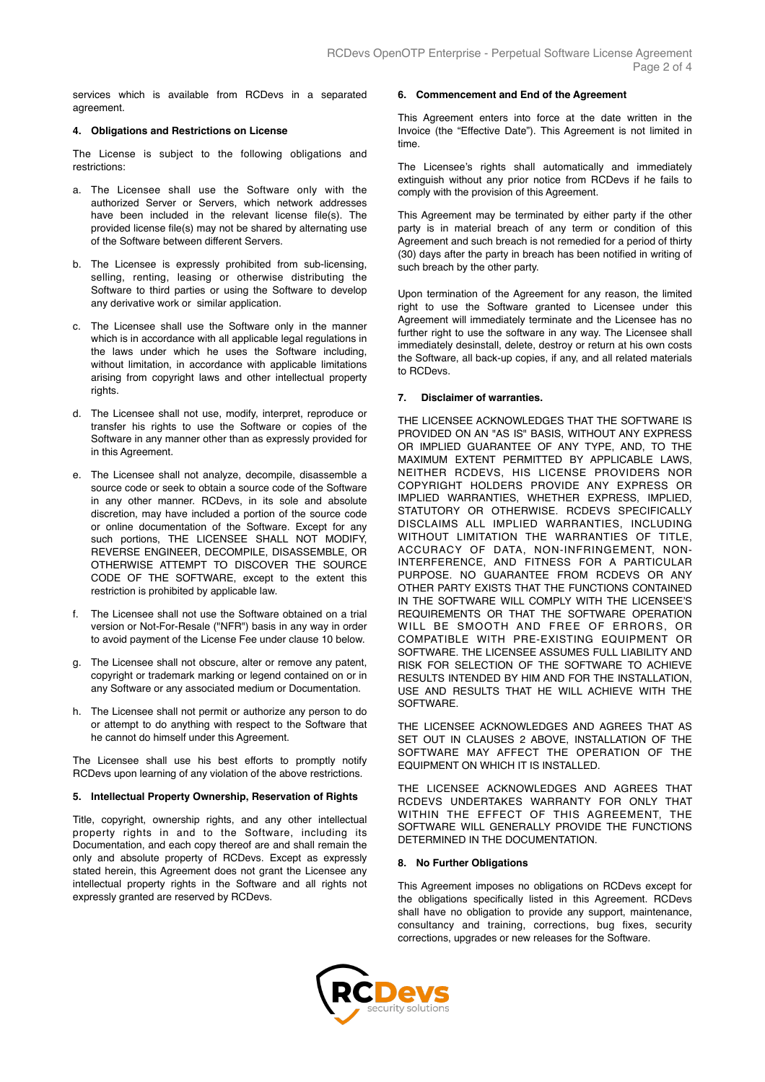services which is available from RCDevs in a separated agreement.

## **4. Obligations and Restrictions on License**

The License is subject to the following obligations and restrictions:

- a. The Licensee shall use the Software only with the authorized Server or Servers, which network addresses have been included in the relevant license file(s). The provided license file(s) may not be shared by alternating use of the Software between different Servers.
- b. The Licensee is expressly prohibited from sub-licensing, selling, renting, leasing or otherwise distributing the Software to third parties or using the Software to develop any derivative work or similar application.
- c. The Licensee shall use the Software only in the manner which is in accordance with all applicable legal regulations in the laws under which he uses the Software including, without limitation, in accordance with applicable limitations arising from copyright laws and other intellectual property rights
- d. The Licensee shall not use, modify, interpret, reproduce or transfer his rights to use the Software or copies of the Software in any manner other than as expressly provided for in this Agreement.
- e. The Licensee shall not analyze, decompile, disassemble a source code or seek to obtain a source code of the Software in any other manner. RCDevs, in its sole and absolute discretion, may have included a portion of the source code or online documentation of the Software. Except for any such portions, THE LICENSEE SHALL NOT MODIFY, REVERSE ENGINEER, DECOMPILE, DISASSEMBLE, OR OTHERWISE ATTEMPT TO DISCOVER THE SOURCE CODE OF THE SOFTWARE, except to the extent this restriction is prohibited by applicable law.
- f. The Licensee shall not use the Software obtained on a trial version or Not-For-Resale ("NFR") basis in any way in order to avoid payment of the License Fee under clause 10 below.
- g. The Licensee shall not obscure, alter or remove any patent, copyright or trademark marking or legend contained on or in any Software or any associated medium or Documentation.
- h. The Licensee shall not permit or authorize any person to do or attempt to do anything with respect to the Software that he cannot do himself under this Agreement.

The Licensee shall use his best efforts to promptly notify RCDevs upon learning of any violation of the above restrictions.

## **5. Intellectual Property Ownership, Reservation of Rights**

Title, copyright, ownership rights, and any other intellectual property rights in and to the Software, including its Documentation, and each copy thereof are and shall remain the only and absolute property of RCDevs. Except as expressly stated herein, this Agreement does not grant the Licensee any intellectual property rights in the Software and all rights not expressly granted are reserved by RCDevs.

# **6. Commencement and End of the Agreement**

This Agreement enters into force at the date written in the Invoice (the "Effective Date"). This Agreement is not limited in time.

The Licensee's rights shall automatically and immediately extinguish without any prior notice from RCDevs if he fails to comply with the provision of this Agreement.

This Agreement may be terminated by either party if the other party is in material breach of any term or condition of this Agreement and such breach is not remedied for a period of thirty (30) days after the party in breach has been notified in writing of such breach by the other party.

Upon termination of the Agreement for any reason, the limited right to use the Software granted to Licensee under this Agreement will immediately terminate and the Licensee has no further right to use the software in any way. The Licensee shall immediately desinstall, delete, destroy or return at his own costs the Software, all back-up copies, if any, and all related materials to RCDevs.

# **7. Disclaimer of warranties.**

THE LICENSEE ACKNOWLEDGES THAT THE SOFTWARE IS PROVIDED ON AN "AS IS" BASIS, WITHOUT ANY EXPRESS OR IMPLIED GUARANTEE OF ANY TYPE, AND, TO THE MAXIMUM EXTENT PERMITTED BY APPLICABLE LAWS, NEITHER RCDEVS, HIS LICENSE PROVIDERS NOR COPYRIGHT HOLDERS PROVIDE ANY EXPRESS OR IMPLIED WARRANTIES, WHETHER EXPRESS, IMPLIED, STATUTORY OR OTHERWISE. RCDEVS SPECIFICALLY DISCLAIMS ALL IMPLIED WARRANTIES, INCLUDING WITHOUT LIMITATION THE WARRANTIES OF TITLE, ACCURACY OF DATA, NON-INFRINGEMENT, NON-INTERFERENCE, AND FITNESS FOR A PARTICULAR PURPOSE. NO GUARANTEE FROM RCDEVS OR ANY OTHER PARTY EXISTS THAT THE FUNCTIONS CONTAINED IN THE SOFTWARE WILL COMPLY WITH THE LICENSEE'S REQUIREMENTS OR THAT THE SOFTWARE OPERATION WILL BE SMOOTH AND FREE OF ERRORS, OR COMPATIBLE WITH PRE-EXISTING EQUIPMENT OR SOFTWARE. THE LICENSEE ASSUMES FULL LIABILITY AND RISK FOR SELECTION OF THE SOFTWARE TO ACHIEVE RESULTS INTENDED BY HIM AND FOR THE INSTALLATION, USE AND RESULTS THAT HE WILL ACHIEVE WITH THE SOFTWARE.

THE LICENSEE ACKNOWLEDGES AND AGREES THAT AS SET OUT IN CLAUSES 2 ABOVE, INSTALLATION OF THE SOFTWARE MAY AFFECT THE OPERATION OF THE EQUIPMENT ON WHICH IT IS INSTALLED.

THE LICENSEE ACKNOWLEDGES AND AGREES THAT RCDEVS UNDERTAKES WARRANTY FOR ONLY THAT WITHIN THE EFFECT OF THIS AGREEMENT, THE SOFTWARE WILL GENERALLY PROVIDE THE FUNCTIONS DETERMINED IN THE DOCUMENTATION.

## **8. No Further Obligations**

This Agreement imposes no obligations on RCDevs except for the obligations specifically listed in this Agreement. RCDevs shall have no obligation to provide any support, maintenance, consultancy and training, corrections, bug fixes, security corrections, upgrades or new releases for the Software.

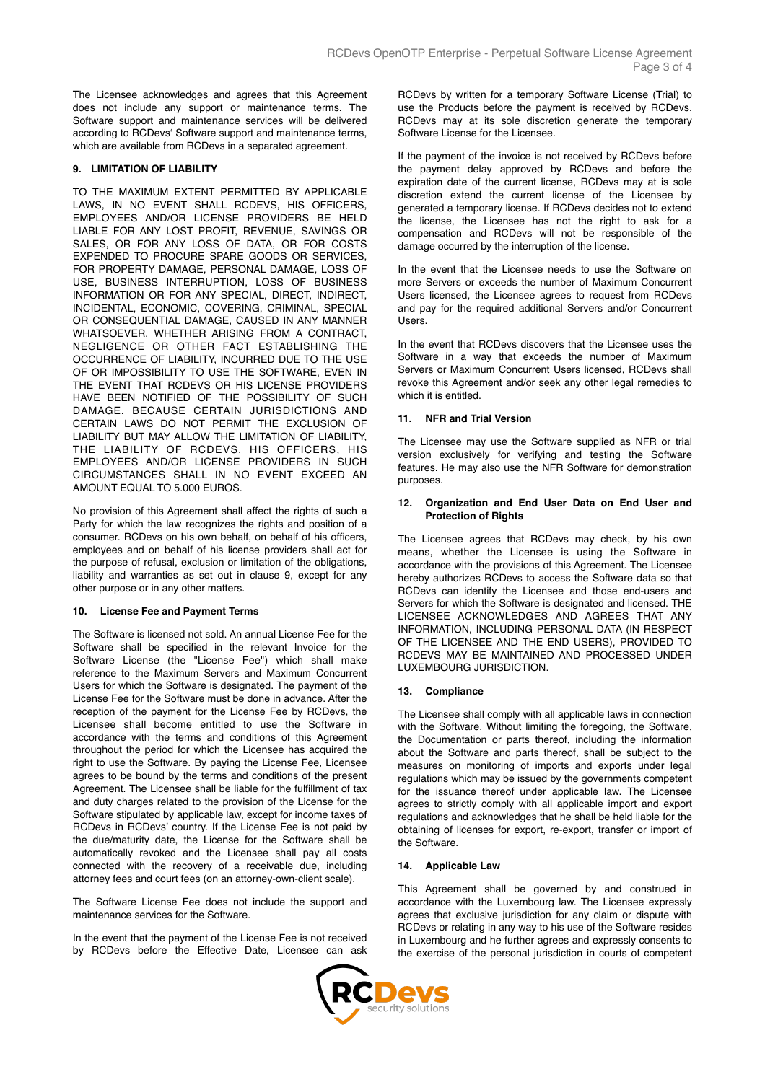The Licensee acknowledges and agrees that this Agreement does not include any support or maintenance terms. The Software support and maintenance services will be delivered according to RCDevs' Software support and maintenance terms, which are available from RCDevs in a separated agreement.

# **9. LIMITATION OF LIABILITY**

TO THE MAXIMUM EXTENT PERMITTED BY APPLICABLE LAWS, IN NO EVENT SHALL RCDEVS, HIS OFFICERS, EMPLOYEES AND/OR LICENSE PROVIDERS BE HELD LIABLE FOR ANY LOST PROFIT, REVENUE, SAVINGS OR SALES, OR FOR ANY LOSS OF DATA, OR FOR COSTS EXPENDED TO PROCURE SPARE GOODS OR SERVICES, FOR PROPERTY DAMAGE, PERSONAL DAMAGE, LOSS OF USE, BUSINESS INTERRUPTION, LOSS OF BUSINESS INFORMATION OR FOR ANY SPECIAL, DIRECT, INDIRECT, INCIDENTAL, ECONOMIC, COVERING, CRIMINAL, SPECIAL OR CONSEQUENTIAL DAMAGE, CAUSED IN ANY MANNER WHATSOEVER, WHETHER ARISING FROM A CONTRACT, NEGLIGENCE OR OTHER FACT ESTABLISHING THE OCCURRENCE OF LIABILITY, INCURRED DUE TO THE USE OF OR IMPOSSIBILITY TO USE THE SOFTWARE, EVEN IN THE EVENT THAT RCDEVS OR HIS LICENSE PROVIDERS HAVE BEEN NOTIFIED OF THE POSSIBILITY OF SUCH DAMAGE. BECAUSE CERTAIN JURISDICTIONS AND CERTAIN LAWS DO NOT PERMIT THE EXCLUSION OF LIABILITY BUT MAY ALLOW THE LIMITATION OF LIABILITY, THE LIABILITY OF RCDEVS, HIS OFFICERS, HIS EMPLOYEES AND/OR LICENSE PROVIDERS IN SUCH CIRCUMSTANCES SHALL IN NO EVENT EXCEED AN AMOUNT EQUAL TO 5.000 EUROS.

No provision of this Agreement shall affect the rights of such a Party for which the law recognizes the rights and position of a consumer. RCDevs on his own behalf, on behalf of his officers, employees and on behalf of his license providers shall act for the purpose of refusal, exclusion or limitation of the obligations, liability and warranties as set out in clause 9, except for any other purpose or in any other matters.

## **10. License Fee and Payment Terms**

The Software is licensed not sold. An annual License Fee for the Software shall be specified in the relevant Invoice for the Software License (the "License Fee") which shall make reference to the Maximum Servers and Maximum Concurrent Users for which the Software is designated. The payment of the License Fee for the Software must be done in advance. After the reception of the payment for the License Fee by RCDevs, the Licensee shall become entitled to use the Software in accordance with the terms and conditions of this Agreement throughout the period for which the Licensee has acquired the right to use the Software. By paying the License Fee, Licensee agrees to be bound by the terms and conditions of the present Agreement. The Licensee shall be liable for the fulfillment of tax and duty charges related to the provision of the License for the Software stipulated by applicable law, except for income taxes of RCDevs in RCDevs' country. If the License Fee is not paid by the due/maturity date, the License for the Software shall be automatically revoked and the Licensee shall pay all costs connected with the recovery of a receivable due, including attorney fees and court fees (on an attorney-own-client scale).

The Software License Fee does not include the support and maintenance services for the Software.

In the event that the payment of the License Fee is not received by RCDevs before the Effective Date, Licensee can ask RCDevs by written for a temporary Software License (Trial) to use the Products before the payment is received by RCDevs. RCDevs may at its sole discretion generate the temporary Software License for the Licensee.

If the payment of the invoice is not received by RCDevs before the payment delay approved by RCDevs and before the expiration date of the current license, RCDevs may at is sole discretion extend the current license of the Licensee by generated a temporary license. If RCDevs decides not to extend the license, the Licensee has not the right to ask for a compensation and RCDevs will not be responsible of the damage occurred by the interruption of the license.

In the event that the Licensee needs to use the Software on more Servers or exceeds the number of Maximum Concurrent Users licensed, the Licensee agrees to request from RCDevs and pay for the required additional Servers and/or Concurrent Users.

In the event that RCDevs discovers that the Licensee uses the Software in a way that exceeds the number of Maximum Servers or Maximum Concurrent Users licensed, RCDevs shall revoke this Agreement and/or seek any other legal remedies to which it is entitled.

# **11. NFR and Trial Version**

The Licensee may use the Software supplied as NFR or trial version exclusively for verifying and testing the Software features. He may also use the NFR Software for demonstration purposes.

# **12. Organization and End User Data on End User and Protection of Rights**

The Licensee agrees that RCDevs may check, by his own means, whether the Licensee is using the Software in accordance with the provisions of this Agreement. The Licensee hereby authorizes RCDevs to access the Software data so that RCDevs can identify the Licensee and those end-users and Servers for which the Software is designated and licensed. THE LICENSEE ACKNOWLEDGES AND AGREES THAT ANY INFORMATION, INCLUDING PERSONAL DATA (IN RESPECT OF THE LICENSEE AND THE END USERS), PROVIDED TO RCDEVS MAY BE MAINTAINED AND PROCESSED UNDER LUXEMBOURG JURISDICTION.

## **13. Compliance**

The Licensee shall comply with all applicable laws in connection with the Software. Without limiting the foregoing, the Software, the Documentation or parts thereof, including the information about the Software and parts thereof, shall be subject to the measures on monitoring of imports and exports under legal regulations which may be issued by the governments competent for the issuance thereof under applicable law. The Licensee agrees to strictly comply with all applicable import and export regulations and acknowledges that he shall be held liable for the obtaining of licenses for export, re-export, transfer or import of the Software.

# **14. Applicable Law**

This Agreement shall be governed by and construed in accordance with the Luxembourg law. The Licensee expressly agrees that exclusive jurisdiction for any claim or dispute with RCDevs or relating in any way to his use of the Software resides in Luxembourg and he further agrees and expressly consents to the exercise of the personal jurisdiction in courts of competent